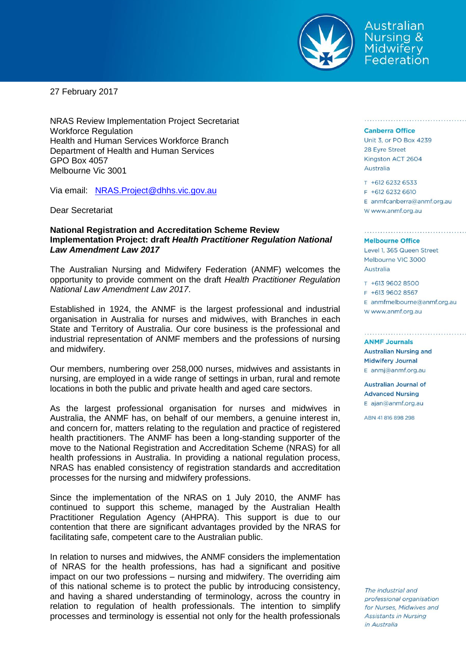

Australian Nursing & **Midwifery** Federation

27 February 2017

NRAS Review Implementation Project Secretariat Workforce Regulation Health and Human Services Workforce Branch Department of Health and Human Services GPO Box 4057 Melbourne Vic 3001

Via email: [NRAS.Project@dhhs.vic.gov.au](mailto:NRAS.Project@dhhs.vic.gov.au)

Dear Secretariat

## **National Registration and Accreditation Scheme Review Implementation Project: draft** *Health Practitioner Regulation National Law Amendment Law 2017*

The Australian Nursing and Midwifery Federation (ANMF) welcomes the opportunity to provide comment on the draft *Health Practitioner Regulation National Law Amendment Law 2017*.

Established in 1924, the ANMF is the largest professional and industrial organisation in Australia for nurses and midwives, with Branches in each State and Territory of Australia. Our core business is the professional and industrial representation of ANMF members and the professions of nursing and midwifery.

Our members, numbering over 258,000 nurses, midwives and assistants in nursing, are employed in a wide range of settings in urban, rural and remote locations in both the public and private health and aged care sectors.

As the largest professional organisation for nurses and midwives in Australia, the ANMF has, on behalf of our members, a genuine interest in, and concern for, matters relating to the regulation and practice of registered health practitioners. The ANMF has been a long-standing supporter of the move to the National Registration and Accreditation Scheme (NRAS) for all health professions in Australia. In providing a national regulation process, NRAS has enabled consistency of registration standards and accreditation processes for the nursing and midwifery professions.

Since the implementation of the NRAS on 1 July 2010, the ANMF has continued to support this scheme, managed by the Australian Health Practitioner Regulation Agency (AHPRA). This support is due to our contention that there are significant advantages provided by the NRAS for facilitating safe, competent care to the Australian public.

In relation to nurses and midwives, the ANMF considers the implementation of NRAS for the health professions, has had a significant and positive impact on our two professions – nursing and midwifery. The overriding aim of this national scheme is to protect the public by introducing consistency, and having a shared understanding of terminology, across the country in relation to regulation of health professionals. The intention to simplify processes and terminology is essential not only for the health professionals

### **Canberra Office**

Unit 3, or PO Box 4239 28 Eyre Street Kingston ACT 2604 Australia

#### T +612 6232 6533 F +612 6232 6610

E anmfcanberra@anmf.org.au w www.anmf.org.au

#### **Melbourne Office**

Level 1, 365 Queen Street Melbourne VIC 3000 Australia

T +613 9602 8500 F +613 9602 8567  $E$  anmfmelbourne@anmf.org.au W www.anmf.org.au

**ANME Journals Australian Nursing and Midwifery Journal** E anmj@anmf.org.au

**Australian Journal of Advanced Nursing** E ajan@anmf.org.au

ABN 41816898298

The industrial and professional organisation for Nurses, Midwives and **Assistants in Nursing** in Australia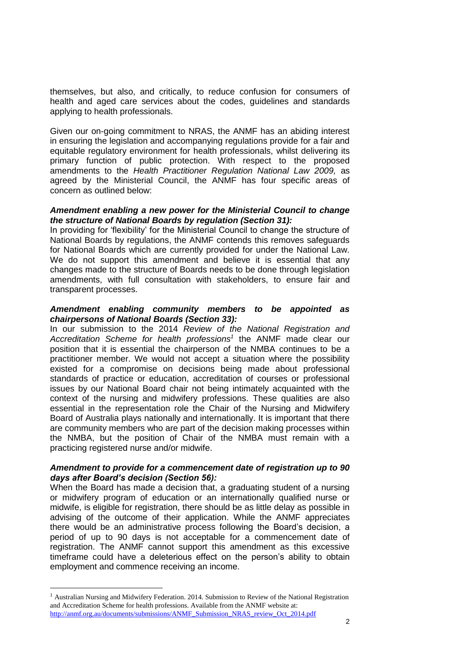themselves, but also, and critically, to reduce confusion for consumers of health and aged care services about the codes, guidelines and standards applying to health professionals.

Given our on-going commitment to NRAS, the ANMF has an abiding interest in ensuring the legislation and accompanying regulations provide for a fair and equitable regulatory environment for health professionals, whilst delivering its primary function of public protection. With respect to the proposed amendments to the *Health Practitioner Regulation National Law 2009,* as agreed by the Ministerial Council, the ANMF has four specific areas of concern as outlined below:

## *Amendment enabling a new power for the Ministerial Council to change the structure of National Boards by regulation (Section 31):*

In providing for 'flexibility' for the Ministerial Council to change the structure of National Boards by regulations, the ANMF contends this removes safeguards for National Boards which are currently provided for under the National Law. We do not support this amendment and believe it is essential that any changes made to the structure of Boards needs to be done through legislation amendments, with full consultation with stakeholders, to ensure fair and transparent processes.

## *Amendment enabling community members to be appointed as chairpersons of National Boards (Section 33):*

In our submission to the 2014 *Review of the National Registration and Accreditation Scheme for health professions<sup>1</sup>* the ANMF made clear our position that it is essential the chairperson of the NMBA continues to be a practitioner member. We would not accept a situation where the possibility existed for a compromise on decisions being made about professional standards of practice or education, accreditation of courses or professional issues by our National Board chair not being intimately acquainted with the context of the nursing and midwifery professions. These qualities are also essential in the representation role the Chair of the Nursing and Midwifery Board of Australia plays nationally and internationally. It is important that there are community members who are part of the decision making processes within the NMBA, but the position of Chair of the NMBA must remain with a practicing registered nurse and/or midwife.

# *Amendment to provide for a commencement date of registration up to 90 days after Board's decision (Section 56):*

When the Board has made a decision that, a graduating student of a nursing or midwifery program of education or an internationally qualified nurse or midwife, is eligible for registration, there should be as little delay as possible in advising of the outcome of their application. While the ANMF appreciates there would be an administrative process following the Board's decision, a period of up to 90 days is not acceptable for a commencement date of registration. The ANMF cannot support this amendment as this excessive timeframe could have a deleterious effect on the person's ability to obtain employment and commence receiving an income.

 $\overline{a}$ 

<sup>&</sup>lt;sup>1</sup> Australian Nursing and Midwifery Federation. 2014. Submission to Review of the National Registration and Accreditation Scheme for health professions. Available from the ANMF website at: [http://anmf.org.au/documents/submissions/ANMF\\_Submission\\_NRAS\\_review\\_Oct\\_2014.pdf](http://anmf.org.au/documents/submissions/ANMF_Submission_NRAS_review_Oct_2014.pdf)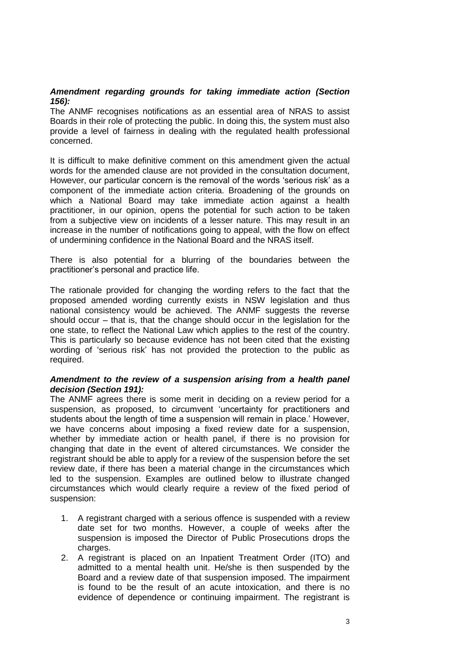# *Amendment regarding grounds for taking immediate action (Section 156):*

The ANMF recognises notifications as an essential area of NRAS to assist Boards in their role of protecting the public. In doing this, the system must also provide a level of fairness in dealing with the regulated health professional concerned.

It is difficult to make definitive comment on this amendment given the actual words for the amended clause are not provided in the consultation document, However, our particular concern is the removal of the words 'serious risk' as a component of the immediate action criteria. Broadening of the grounds on which a National Board may take immediate action against a health practitioner, in our opinion, opens the potential for such action to be taken from a subjective view on incidents of a lesser nature. This may result in an increase in the number of notifications going to appeal, with the flow on effect of undermining confidence in the National Board and the NRAS itself.

There is also potential for a blurring of the boundaries between the practitioner's personal and practice life.

The rationale provided for changing the wording refers to the fact that the proposed amended wording currently exists in NSW legislation and thus national consistency would be achieved. The ANMF suggests the reverse should occur – that is, that the change should occur in the legislation for the one state, to reflect the National Law which applies to the rest of the country. This is particularly so because evidence has not been cited that the existing wording of 'serious risk' has not provided the protection to the public as required.

# *Amendment to the review of a suspension arising from a health panel decision (Section 191):*

The ANMF agrees there is some merit in deciding on a review period for a suspension, as proposed, to circumvent 'uncertainty for practitioners and students about the length of time a suspension will remain in place.' However, we have concerns about imposing a fixed review date for a suspension, whether by immediate action or health panel, if there is no provision for changing that date in the event of altered circumstances. We consider the registrant should be able to apply for a review of the suspension before the set review date, if there has been a material change in the circumstances which led to the suspension. Examples are outlined below to illustrate changed circumstances which would clearly require a review of the fixed period of suspension:

- 1. A registrant charged with a serious offence is suspended with a review date set for two months. However, a couple of weeks after the suspension is imposed the Director of Public Prosecutions drops the charges.
- 2. A registrant is placed on an Inpatient Treatment Order (ITO) and admitted to a mental health unit. He/she is then suspended by the Board and a review date of that suspension imposed. The impairment is found to be the result of an acute intoxication, and there is no evidence of dependence or continuing impairment. The registrant is